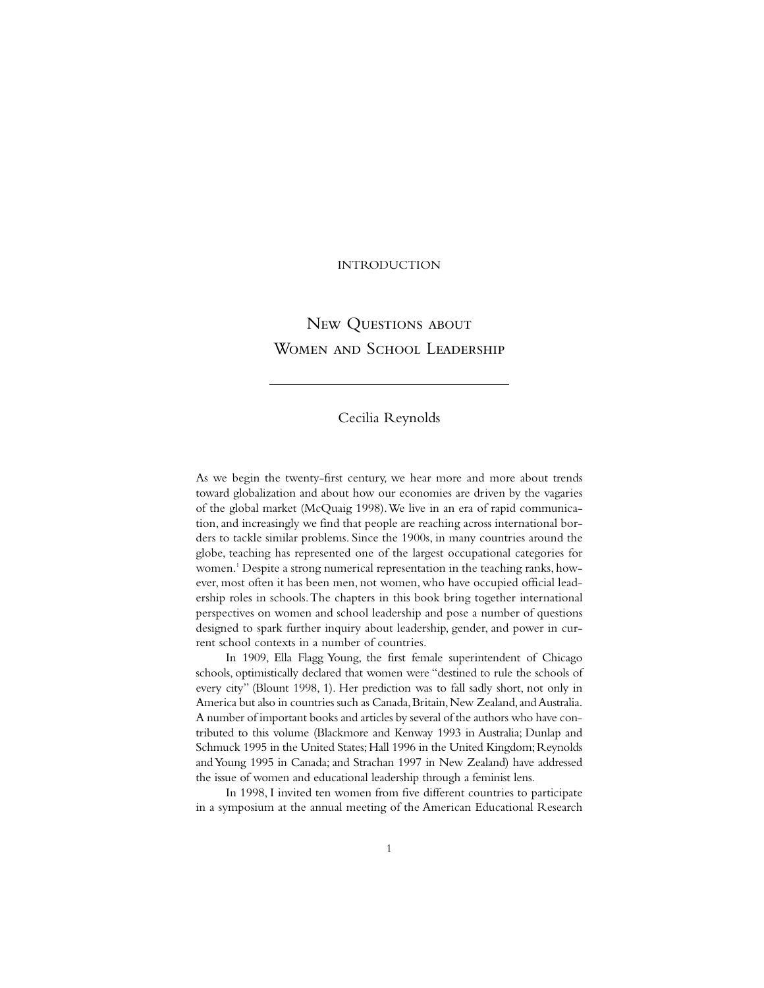# INTRODUCTION

# New QUESTIONS ABOUT WOMEN AND SCHOOL LEADERSHIP

# Cecilia Reynolds

As we begin the twenty-first century, we hear more and more about trends toward globalization and about how our economies are driven by the vagaries of the global market (McQuaig 1998).We live in an era of rapid communication, and increasingly we find that people are reaching across international borders to tackle similar problems. Since the 1900s, in many countries around the globe, teaching has represented one of the largest occupational categories for women.1 Despite a strong numerical representation in the teaching ranks, however, most often it has been men, not women, who have occupied official leadership roles in schools.The chapters in this book bring together international perspectives on women and school leadership and pose a number of questions designed to spark further inquiry about leadership, gender, and power in current school contexts in a number of countries.

In 1909, Ella Flagg Young, the first female superintendent of Chicago schools, optimistically declared that women were "destined to rule the schools of every city" (Blount 1998, 1). Her prediction was to fall sadly short, not only in America but also in countries such as Canada, Britain, New Zealand, and Australia. A number of important books and articles by several of the authors who have contributed to this volume (Blackmore and Kenway 1993 in Australia; Dunlap and Schmuck 1995 in the United States; Hall 1996 in the United Kingdom; Reynolds and Young 1995 in Canada; and Strachan 1997 in New Zealand) have addressed the issue of women and educational leadership through a feminist lens.

In 1998, I invited ten women from five different countries to participate in a symposium at the annual meeting of the American Educational Research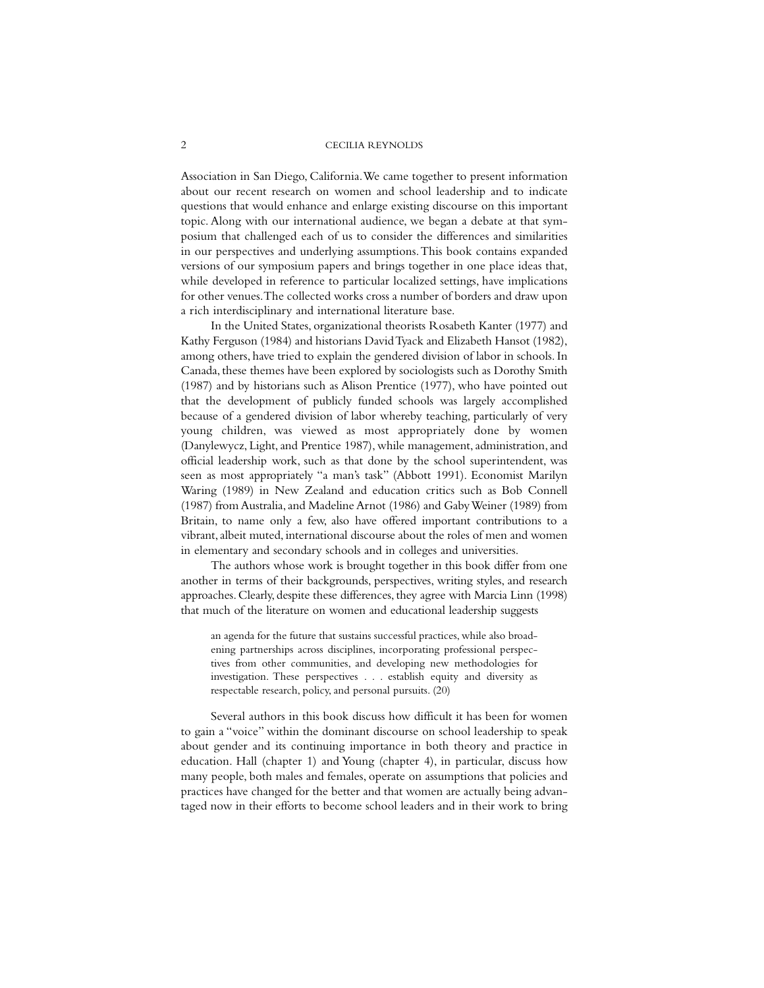#### 2 CECILIA REYNOLDS

Association in San Diego, California.We came together to present information about our recent research on women and school leadership and to indicate questions that would enhance and enlarge existing discourse on this important topic. Along with our international audience, we began a debate at that symposium that challenged each of us to consider the differences and similarities in our perspectives and underlying assumptions.This book contains expanded versions of our symposium papers and brings together in one place ideas that, while developed in reference to particular localized settings, have implications for other venues.The collected works cross a number of borders and draw upon a rich interdisciplinary and international literature base.

In the United States, organizational theorists Rosabeth Kanter (1977) and Kathy Ferguson (1984) and historians David Tyack and Elizabeth Hansot (1982), among others, have tried to explain the gendered division of labor in schools. In Canada, these themes have been explored by sociologists such as Dorothy Smith (1987) and by historians such as Alison Prentice (1977), who have pointed out that the development of publicly funded schools was largely accomplished because of a gendered division of labor whereby teaching, particularly of very young children, was viewed as most appropriately done by women (Danylewycz, Light, and Prentice 1987), while management, administration, and official leadership work, such as that done by the school superintendent, was seen as most appropriately "a man's task" (Abbott 1991). Economist Marilyn Waring (1989) in New Zealand and education critics such as Bob Connell (1987) from Australia, and Madeline Arnot (1986) and Gaby Weiner (1989) from Britain, to name only a few, also have offered important contributions to a vibrant, albeit muted, international discourse about the roles of men and women in elementary and secondary schools and in colleges and universities.

The authors whose work is brought together in this book differ from one another in terms of their backgrounds, perspectives, writing styles, and research approaches. Clearly, despite these differences, they agree with Marcia Linn (1998) that much of the literature on women and educational leadership suggests

an agenda for the future that sustains successful practices, while also broadening partnerships across disciplines, incorporating professional perspectives from other communities, and developing new methodologies for investigation. These perspectives . . . establish equity and diversity as respectable research, policy, and personal pursuits. (20)

Several authors in this book discuss how difficult it has been for women to gain a "voice" within the dominant discourse on school leadership to speak about gender and its continuing importance in both theory and practice in education. Hall (chapter 1) and Young (chapter 4), in particular, discuss how many people, both males and females, operate on assumptions that policies and practices have changed for the better and that women are actually being advantaged now in their efforts to become school leaders and in their work to bring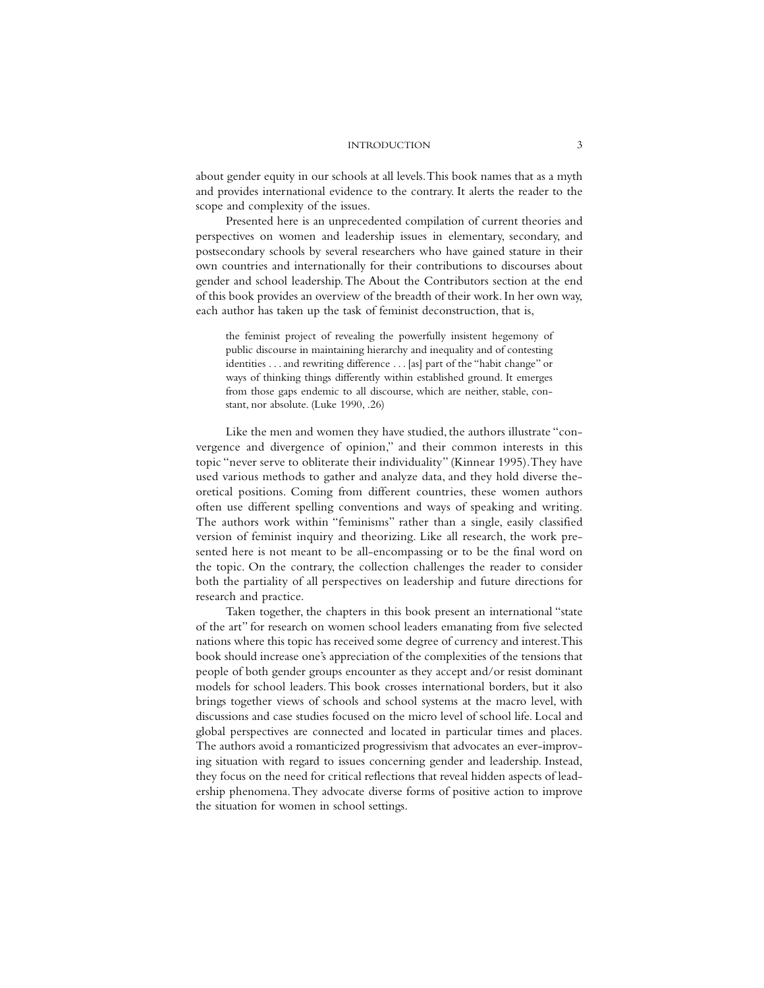about gender equity in our schools at all levels.This book names that as a myth and provides international evidence to the contrary. It alerts the reader to the scope and complexity of the issues.

Presented here is an unprecedented compilation of current theories and perspectives on women and leadership issues in elementary, secondary, and postsecondary schools by several researchers who have gained stature in their own countries and internationally for their contributions to discourses about gender and school leadership.The About the Contributors section at the end of this book provides an overview of the breadth of their work.In her own way, each author has taken up the task of feminist deconstruction, that is,

the feminist project of revealing the powerfully insistent hegemony of public discourse in maintaining hierarchy and inequality and of contesting identities . . . and rewriting difference . . . [as] part of the "habit change" or ways of thinking things differently within established ground. It emerges from those gaps endemic to all discourse, which are neither, stable, constant, nor absolute. (Luke 1990, .26)

Like the men and women they have studied, the authors illustrate "convergence and divergence of opinion," and their common interests in this topic "never serve to obliterate their individuality" (Kinnear 1995).They have used various methods to gather and analyze data, and they hold diverse theoretical positions. Coming from different countries, these women authors often use different spelling conventions and ways of speaking and writing. The authors work within "feminisms" rather than a single, easily classified version of feminist inquiry and theorizing. Like all research, the work presented here is not meant to be all-encompassing or to be the final word on the topic. On the contrary, the collection challenges the reader to consider both the partiality of all perspectives on leadership and future directions for research and practice.

Taken together, the chapters in this book present an international "state of the art" for research on women school leaders emanating from five selected nations where this topic has received some degree of currency and interest.This book should increase one's appreciation of the complexities of the tensions that people of both gender groups encounter as they accept and/or resist dominant models for school leaders. This book crosses international borders, but it also brings together views of schools and school systems at the macro level, with discussions and case studies focused on the micro level of school life. Local and global perspectives are connected and located in particular times and places. The authors avoid a romanticized progressivism that advocates an ever-improving situation with regard to issues concerning gender and leadership. Instead, they focus on the need for critical reflections that reveal hidden aspects of leadership phenomena.They advocate diverse forms of positive action to improve the situation for women in school settings.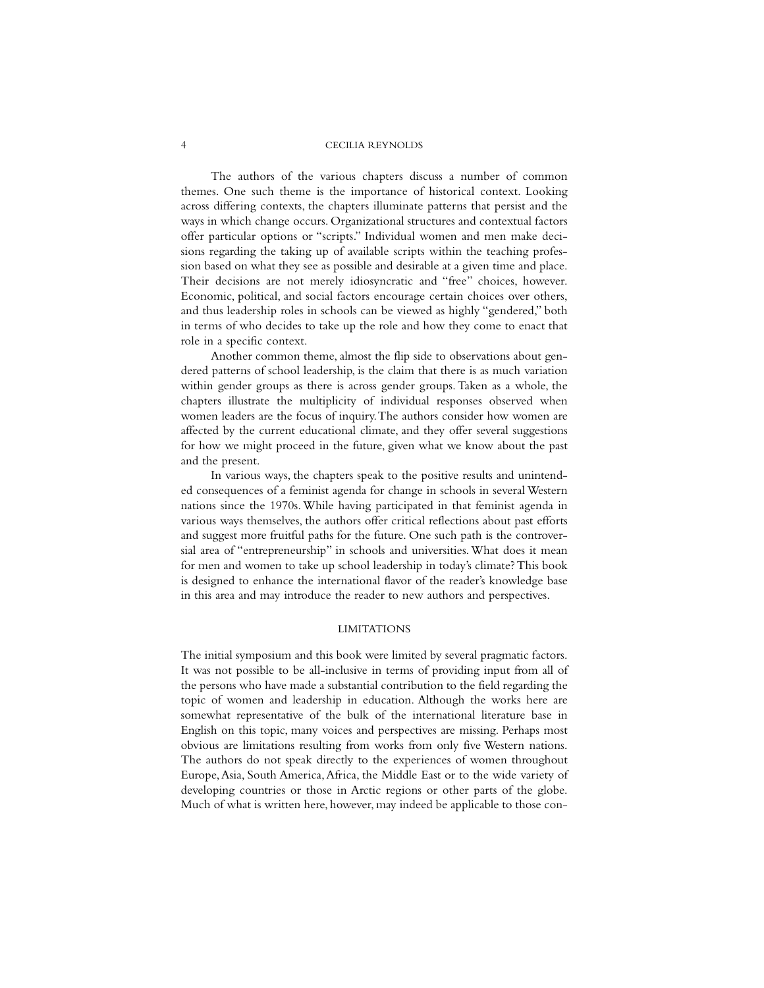#### 4 CECILIA REYNOLDS

The authors of the various chapters discuss a number of common themes. One such theme is the importance of historical context. Looking across differing contexts, the chapters illuminate patterns that persist and the ways in which change occurs. Organizational structures and contextual factors offer particular options or "scripts." Individual women and men make decisions regarding the taking up of available scripts within the teaching profession based on what they see as possible and desirable at a given time and place. Their decisions are not merely idiosyncratic and "free" choices, however. Economic, political, and social factors encourage certain choices over others, and thus leadership roles in schools can be viewed as highly "gendered," both in terms of who decides to take up the role and how they come to enact that role in a specific context.

Another common theme, almost the flip side to observations about gendered patterns of school leadership, is the claim that there is as much variation within gender groups as there is across gender groups. Taken as a whole, the chapters illustrate the multiplicity of individual responses observed when women leaders are the focus of inquiry.The authors consider how women are affected by the current educational climate, and they offer several suggestions for how we might proceed in the future, given what we know about the past and the present.

In various ways, the chapters speak to the positive results and unintended consequences of a feminist agenda for change in schools in several Western nations since the 1970s. While having participated in that feminist agenda in various ways themselves, the authors offer critical reflections about past efforts and suggest more fruitful paths for the future. One such path is the controversial area of "entrepreneurship" in schools and universities.What does it mean for men and women to take up school leadership in today's climate? This book is designed to enhance the international flavor of the reader's knowledge base in this area and may introduce the reader to new authors and perspectives.

## LIMITATIONS

The initial symposium and this book were limited by several pragmatic factors. It was not possible to be all-inclusive in terms of providing input from all of the persons who have made a substantial contribution to the field regarding the topic of women and leadership in education. Although the works here are somewhat representative of the bulk of the international literature base in English on this topic, many voices and perspectives are missing. Perhaps most obvious are limitations resulting from works from only five Western nations. The authors do not speak directly to the experiences of women throughout Europe,Asia, South America,Africa, the Middle East or to the wide variety of developing countries or those in Arctic regions or other parts of the globe. Much of what is written here, however, may indeed be applicable to those con-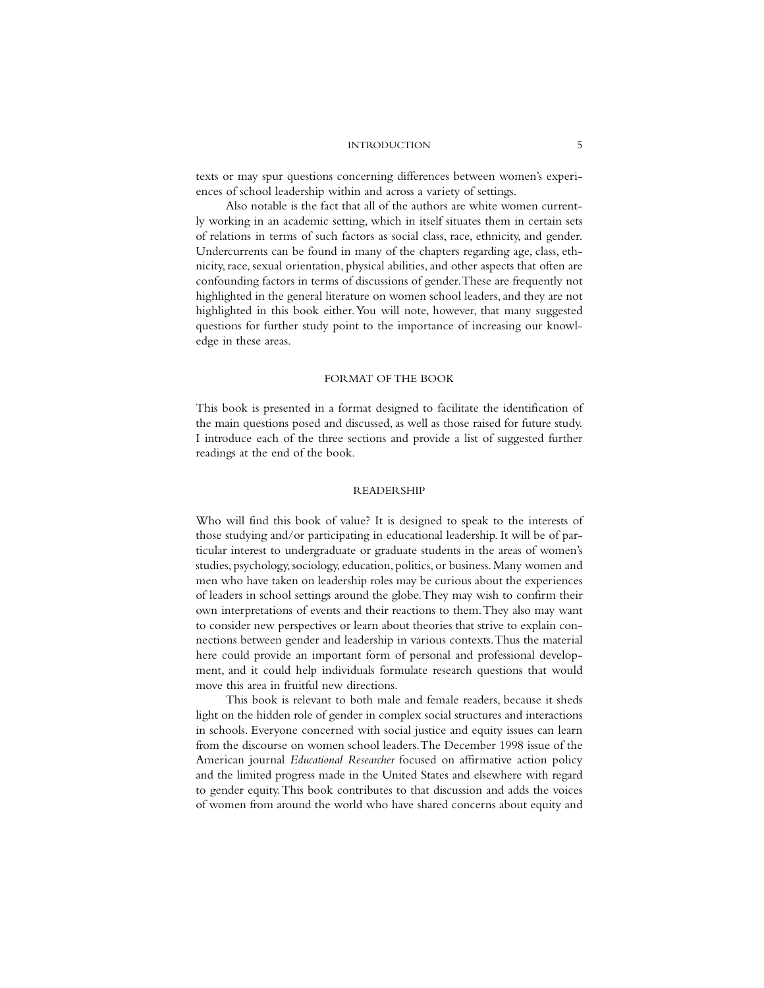#### INTRODUCTION 5

texts or may spur questions concerning differences between women's experiences of school leadership within and across a variety of settings.

Also notable is the fact that all of the authors are white women currently working in an academic setting, which in itself situates them in certain sets of relations in terms of such factors as social class, race, ethnicity, and gender. Undercurrents can be found in many of the chapters regarding age, class, ethnicity, race, sexual orientation, physical abilities, and other aspects that often are confounding factors in terms of discussions of gender.These are frequently not highlighted in the general literature on women school leaders, and they are not highlighted in this book either.You will note, however, that many suggested questions for further study point to the importance of increasing our knowledge in these areas.

### FORMAT OF THE BOOK

This book is presented in a format designed to facilitate the identification of the main questions posed and discussed, as well as those raised for future study. I introduce each of the three sections and provide a list of suggested further readings at the end of the book.

#### READERSHIP

Who will find this book of value? It is designed to speak to the interests of those studying and/or participating in educational leadership. It will be of particular interest to undergraduate or graduate students in the areas of women's studies, psychology, sociology, education, politics, or business. Many women and men who have taken on leadership roles may be curious about the experiences of leaders in school settings around the globe.They may wish to confirm their own interpretations of events and their reactions to them.They also may want to consider new perspectives or learn about theories that strive to explain connections between gender and leadership in various contexts.Thus the material here could provide an important form of personal and professional development, and it could help individuals formulate research questions that would move this area in fruitful new directions.

This book is relevant to both male and female readers, because it sheds light on the hidden role of gender in complex social structures and interactions in schools. Everyone concerned with social justice and equity issues can learn from the discourse on women school leaders.The December 1998 issue of the American journal *Educational Researcher* focused on affirmative action policy and the limited progress made in the United States and elsewhere with regard to gender equity.This book contributes to that discussion and adds the voices of women from around the world who have shared concerns about equity and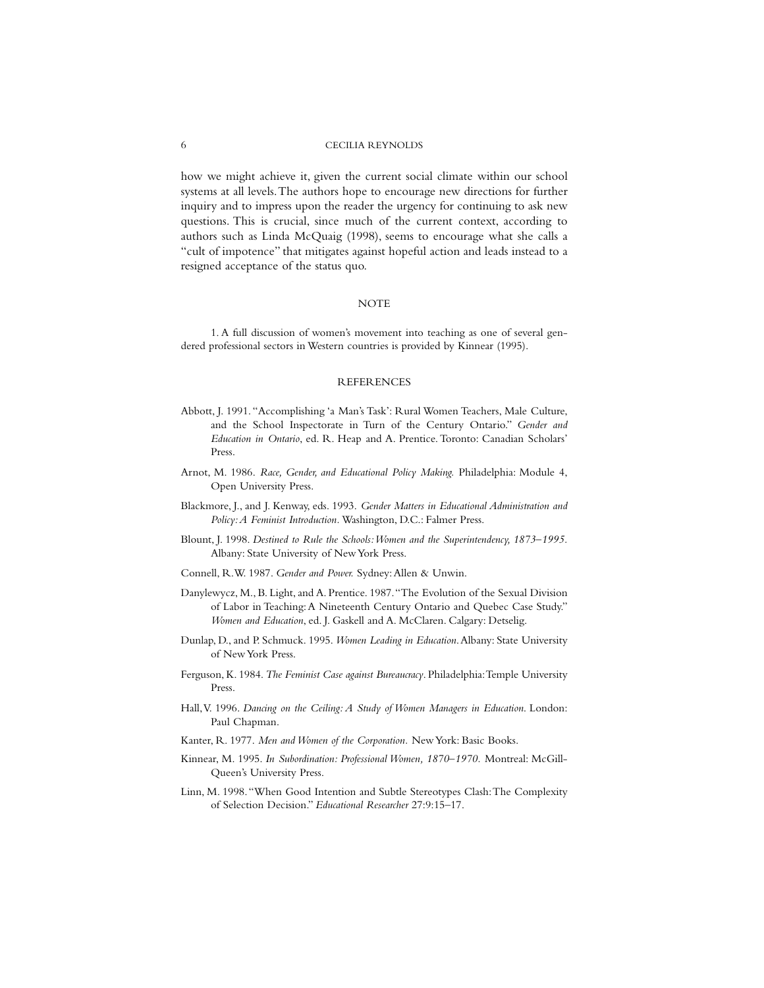#### 6 CECILIA REYNOLDS

how we might achieve it, given the current social climate within our school systems at all levels.The authors hope to encourage new directions for further inquiry and to impress upon the reader the urgency for continuing to ask new questions. This is crucial, since much of the current context, according to authors such as Linda McQuaig (1998), seems to encourage what she calls a "cult of impotence" that mitigates against hopeful action and leads instead to a resigned acceptance of the status quo.

#### **NOTE**

1. A full discussion of women's movement into teaching as one of several gendered professional sectors in Western countries is provided by Kinnear (1995).

#### REFERENCES

- Abbott, J. 1991. "Accomplishing 'a Man's Task': Rural Women Teachers, Male Culture, and the School Inspectorate in Turn of the Century Ontario." *Gender and Education in Ontario*, ed. R. Heap and A. Prentice. Toronto: Canadian Scholars' Press.
- Arnot, M. 1986. *Race, Gender, and Educational Policy Making.* Philadelphia: Module 4, Open University Press.
- Blackmore, J., and J. Kenway, eds. 1993. *Gender Matters in Educational Administration and Policy:A Feminist Introduction.* Washington, D.C.: Falmer Press.
- Blount, J. 1998. *Destined to Rule the Schools:Women and the Superintendency, 1873–1995.* Albany: State University of New York Press.
- Connell, R.W. 1987. *Gender and Power.* Sydney:Allen & Unwin.
- Danylewycz, M., B. Light, and A. Prentice. 1987."The Evolution of the Sexual Division of Labor in Teaching:A Nineteenth Century Ontario and Quebec Case Study." *Women and Education*, ed. J. Gaskell and A. McClaren. Calgary: Detselig.
- Dunlap, D., and P. Schmuck. 1995. *Women Leading in Education*.Albany: State University of New York Press.
- Ferguson, K. 1984.*The Feminist Case against Bureaucracy*. Philadelphia:Temple University Press.
- Hall,V. 1996. *Dancing on the Ceiling: A Study of Women Managers in Education*. London: Paul Chapman.
- Kanter, R. 1977. *Men and Women of the Corporation.* New York: Basic Books.
- Kinnear, M. 1995. *In Subordination: Professional Women, 1870–1970.* Montreal: McGill-Queen's University Press.
- Linn, M. 1998."When Good Intention and Subtle Stereotypes Clash:The Complexity of Selection Decision." *Educational Researcher* 27:9:15–17.